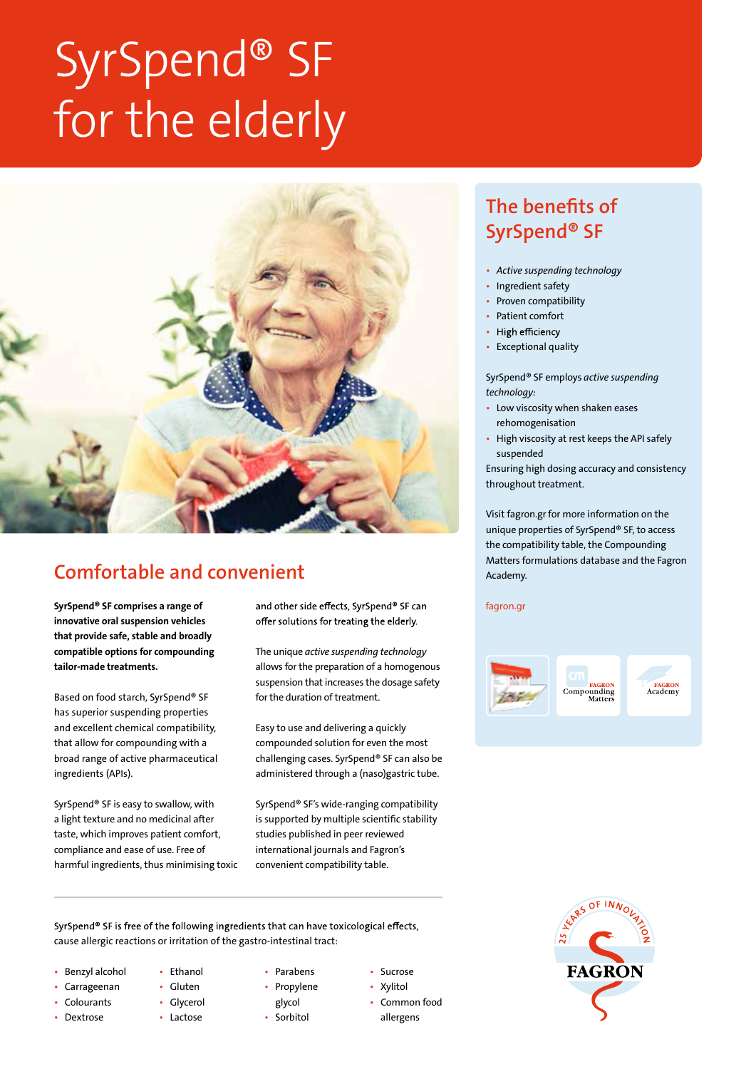# SyrSpend® SF for the elderly



## Comfortable and convenient

innovative oral suspension vehicles that provide safe, stable and broadly compatible options for compounding tailor-made treatments.

Based on food starch, SyrSpend® SF has superior suspending properties and excellent chemical compatibility, that allow for compounding with a broad range of active pharmaceutical ingredients (APIs).

SyrSpend® SF is easy to swallow, with a light texture and no medicinal after taste, which improves patient comfort, compliance and ease of use. Free of harmful ingredients, thus minimising toxic

SyrSpend<sup>®</sup> SF comprises a range of **face and other side effects.** SyrSpend<sup>®</sup> SF can fagron.gr offer solutions for treating the elderly.

> The unique *active suspending technology*  allows for the preparation of a homogenous suspension that increases the dosage safety for the duration of treatment.

Easy to use and delivering a quickly compounded solution for even the most challenging cases. SyrSpend® SF can also be administered through a (naso)gastric tube.

SyrSpend® SF's wide-ranging compatibility is supported by multiple scientific stability studies published in peer reviewed international journals and Fagron's convenient compatibility table.

SyrSpend® SF is free of the following ingredients that can have toxicological effects, cause allergic reactions or irritation of the gastro-intestinal tract:

- Benzyl alcohol
- Carrageenan
- **Colourants**
- Dextrose
- Ethanol • Gluten
- Glycerol
- Lactose
- Parabens • Propylene
- glycol
- Sorbitol
- Sucrose
- Xylitol • Common food
- allergens

## The benefits of SyrSpend® SF

- *Active suspending technology*
- Ingredient safety
- Proven compatibility
- Patient comfort
- High efficiency
- Exceptional quality

SyrSpend® SF employs *active suspending technology:*

- Low viscosity when shaken eases rehomogenisation
- High viscosity at rest keeps the API safely suspended

Ensuring high dosing accuracy and consistency throughout treatment.

Visit fagron.gr for more information on the unique properties of SyrSpend® SF, to access the compatibility table, the Compounding Matters formulations database and the Fagron Academy.